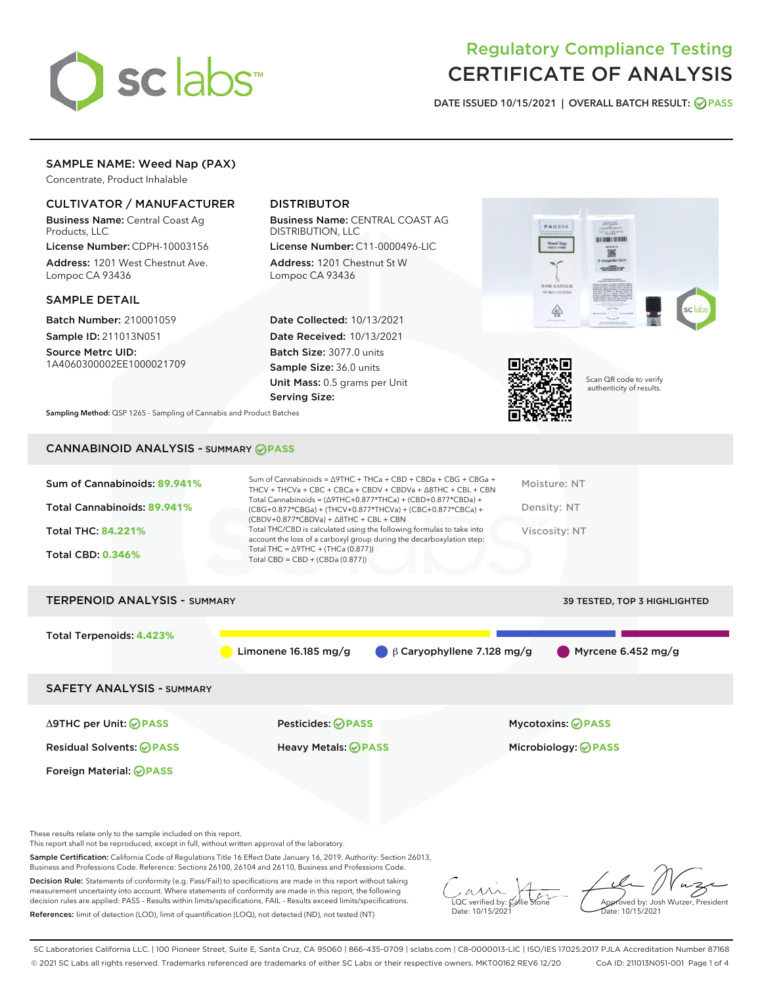

# Regulatory Compliance Testing CERTIFICATE OF ANALYSIS

DATE ISSUED 10/15/2021 | OVERALL BATCH RESULT: @ PASS

# SAMPLE NAME: Weed Nap (PAX)

Concentrate, Product Inhalable

# CULTIVATOR / MANUFACTURER

Business Name: Central Coast Ag Products, LLC

License Number: CDPH-10003156 Address: 1201 West Chestnut Ave. Lompoc CA 93436

#### SAMPLE DETAIL

Batch Number: 210001059 Sample ID: 211013N051

Source Metrc UID: 1A4060300002EE1000021709

# DISTRIBUTOR

Business Name: CENTRAL COAST AG DISTRIBUTION, LLC

License Number: C11-0000496-LIC Address: 1201 Chestnut St W Lompoc CA 93436

Date Collected: 10/13/2021 Date Received: 10/13/2021 Batch Size: 3077.0 units Sample Size: 36.0 units Unit Mass: 0.5 grams per Unit Serving Size:





Scan QR code to verify authenticity of results.

Sampling Method: QSP 1265 - Sampling of Cannabis and Product Batches

# CANNABINOID ANALYSIS - SUMMARY **PASS**

| Sum of Cannabinoids: 89.941%<br>Total Cannabinoids: 89.941%<br><b>Total THC: 84.221%</b><br><b>Total CBD: 0.346%</b> | Sum of Cannabinoids = $\triangle$ 9THC + THCa + CBD + CBDa + CBG + CBGa +<br>THCV + THCVa + CBC + CBCa + CBDV + CBDVa + $\Delta$ 8THC + CBL + CBN<br>Total Cannabinoids = $(\Delta$ 9THC+0.877*THCa) + (CBD+0.877*CBDa) +<br>(CBG+0.877*CBGa) + (THCV+0.877*THCVa) + (CBC+0.877*CBCa) +<br>$(CBDV+0.877*CBDVa) + \Delta 8THC + CBL + CBN$<br>Total THC/CBD is calculated using the following formulas to take into<br>account the loss of a carboxyl group during the decarboxylation step:<br>Total THC = $\triangle$ 9THC + (THCa (0.877))<br>Total CBD = $CBD + (CBDa (0.877))$ | Moisture: NT<br>Density: NT<br>Viscosity: NT |
|----------------------------------------------------------------------------------------------------------------------|------------------------------------------------------------------------------------------------------------------------------------------------------------------------------------------------------------------------------------------------------------------------------------------------------------------------------------------------------------------------------------------------------------------------------------------------------------------------------------------------------------------------------------------------------------------------------------|----------------------------------------------|
| <b>TERPENOID ANALYSIS - SUMMARY</b>                                                                                  |                                                                                                                                                                                                                                                                                                                                                                                                                                                                                                                                                                                    | 39 TESTED, TOP 3 HIGHLIGHTED                 |
| Total Terpenoids: 4.423%                                                                                             | Limonene 16.185 mg/g<br>$\beta$ Caryophyllene 7.128 mg/g                                                                                                                                                                                                                                                                                                                                                                                                                                                                                                                           | Myrcene 6.452 mg/g                           |
| <b>SAFETY ANALYSIS - SUMMARY</b>                                                                                     |                                                                                                                                                                                                                                                                                                                                                                                                                                                                                                                                                                                    |                                              |
| $\triangle$ 9THC per Unit: $\odot$ PASS                                                                              | Pesticides: ⊘PASS                                                                                                                                                                                                                                                                                                                                                                                                                                                                                                                                                                  | <b>Mycotoxins: ⊘PASS</b>                     |
| <b>Residual Solvents: ⊘PASS</b>                                                                                      | Heavy Metals: ⊘PASS                                                                                                                                                                                                                                                                                                                                                                                                                                                                                                                                                                | Microbiology: <b>OPASS</b>                   |

These results relate only to the sample included on this report.

Foreign Material: **PASS**

This report shall not be reproduced, except in full, without written approval of the laboratory.

Sample Certification: California Code of Regulations Title 16 Effect Date January 16, 2019. Authority: Section 26013, Business and Professions Code. Reference: Sections 26100, 26104 and 26110, Business and Professions Code.

Decision Rule: Statements of conformity (e.g. Pass/Fail) to specifications are made in this report without taking measurement uncertainty into account. Where statements of conformity are made in this report, the following decision rules are applied: PASS – Results within limits/specifications, FAIL – Results exceed limits/specifications. References: limit of detection (LOD), limit of quantification (LOQ), not detected (ND), not tested (NT)

 $\sim$  CC verified by:  $\mathcal{C}$ Date: 10/15/2021

Approved by: Josh Wurzer, President ate: 10/15/2021

SC Laboratories California LLC. | 100 Pioneer Street, Suite E, Santa Cruz, CA 95060 | 866-435-0709 | sclabs.com | C8-0000013-LIC | ISO/IES 17025:2017 PJLA Accreditation Number 87168 © 2021 SC Labs all rights reserved. Trademarks referenced are trademarks of either SC Labs or their respective owners. MKT00162 REV6 12/20 CoA ID: 211013N051-001 Page 1 of 4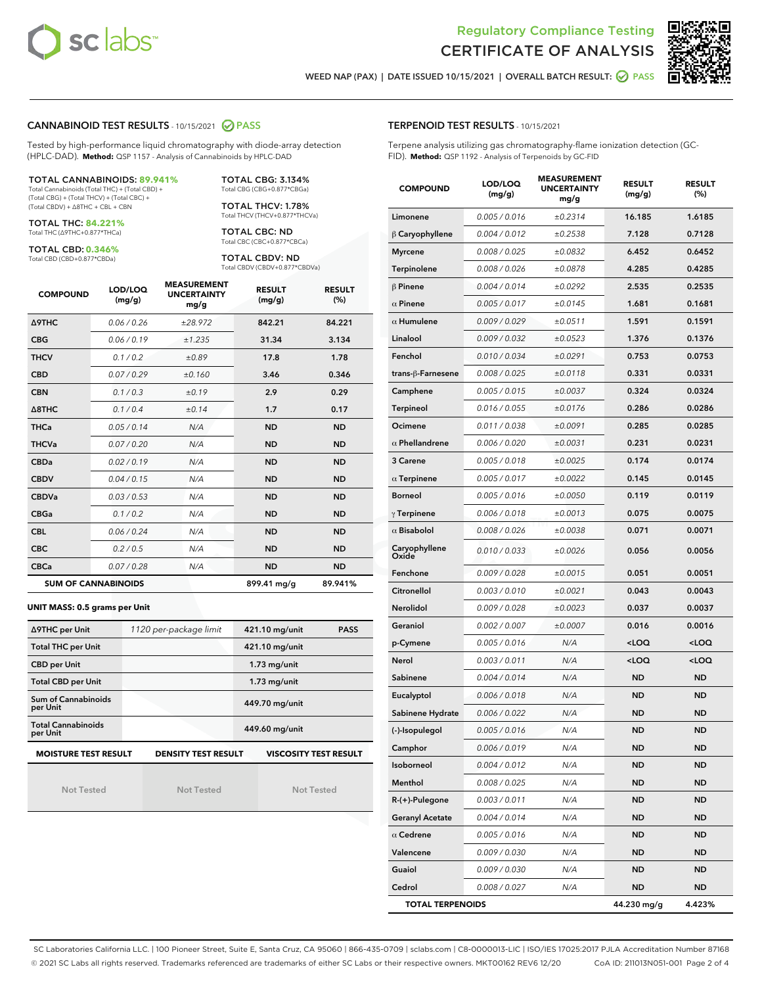



WEED NAP (PAX) | DATE ISSUED 10/15/2021 | OVERALL BATCH RESULT:  $\bigcirc$  PASS

### CANNABINOID TEST RESULTS - 10/15/2021 2 PASS

Tested by high-performance liquid chromatography with diode-array detection (HPLC-DAD). **Method:** QSP 1157 - Analysis of Cannabinoids by HPLC-DAD

#### TOTAL CANNABINOIDS: **89.941%**

Total Cannabinoids (Total THC) + (Total CBD) + (Total CBG) + (Total THCV) + (Total CBC) + (Total CBDV) + ∆8THC + CBL + CBN

TOTAL THC: **84.221%** Total THC (∆9THC+0.877\*THCa)

TOTAL CBD: **0.346%**

Total CBD (CBD+0.877\*CBDa)

TOTAL CBG: 3.134% Total CBG (CBG+0.877\*CBGa)

TOTAL THCV: 1.78% Total THCV (THCV+0.877\*THCVa)

TOTAL CBC: ND Total CBC (CBC+0.877\*CBCa)

TOTAL CBDV: ND Total CBDV (CBDV+0.877\*CBDVa)

| <b>COMPOUND</b>            | LOD/LOQ<br>(mg/g) | <b>MEASUREMENT</b><br><b>UNCERTAINTY</b><br>mg/g | <b>RESULT</b><br>(mg/g) | <b>RESULT</b><br>(%) |
|----------------------------|-------------------|--------------------------------------------------|-------------------------|----------------------|
| <b>A9THC</b>               | 0.06/0.26         | ±28.972                                          | 842.21                  | 84.221               |
| <b>CBG</b>                 | 0.06/0.19         | ±1.235                                           | 31.34                   | 3.134                |
| <b>THCV</b>                | 0.1/0.2           | ±0.89                                            | 17.8                    | 1.78                 |
| <b>CBD</b>                 | 0.07/0.29         | ±0.160                                           | 3.46                    | 0.346                |
| <b>CBN</b>                 | 0.1/0.3           | ±0.19                                            | 2.9                     | 0.29                 |
| $\triangle$ 8THC           | 0.1/0.4           | ±0.14                                            | 1.7                     | 0.17                 |
| <b>THCa</b>                | 0.05/0.14         | N/A                                              | <b>ND</b>               | <b>ND</b>            |
| <b>THCVa</b>               | 0.07/0.20         | N/A                                              | <b>ND</b>               | <b>ND</b>            |
| <b>CBDa</b>                | 0.02/0.19         | N/A                                              | <b>ND</b>               | <b>ND</b>            |
| <b>CBDV</b>                | 0.04/0.15         | N/A                                              | <b>ND</b>               | <b>ND</b>            |
| <b>CBDVa</b>               | 0.03/0.53         | N/A                                              | <b>ND</b>               | <b>ND</b>            |
| <b>CBGa</b>                | 0.1/0.2           | N/A                                              | <b>ND</b>               | <b>ND</b>            |
| <b>CBL</b>                 | 0.06 / 0.24       | N/A                                              | <b>ND</b>               | <b>ND</b>            |
| <b>CBC</b>                 | 0.2 / 0.5         | N/A                                              | <b>ND</b>               | <b>ND</b>            |
| <b>CBCa</b>                | 0.07/0.28         | N/A                                              | <b>ND</b>               | <b>ND</b>            |
| <b>SUM OF CANNABINOIDS</b> |                   |                                                  | 899.41 mg/g             | 89.941%              |

#### **UNIT MASS: 0.5 grams per Unit**

| ∆9THC per Unit                        | 1120 per-package limit     | 421.10 mg/unit<br><b>PASS</b> |
|---------------------------------------|----------------------------|-------------------------------|
| <b>Total THC per Unit</b>             |                            | 421.10 mg/unit                |
| <b>CBD per Unit</b>                   |                            | $1.73$ mg/unit                |
| <b>Total CBD per Unit</b>             |                            | $1.73$ mg/unit                |
| Sum of Cannabinoids<br>per Unit       |                            | 449.70 mg/unit                |
| <b>Total Cannabinoids</b><br>per Unit |                            | 449.60 mg/unit                |
| <b>MOISTURE TEST RESULT</b>           | <b>DENSITY TEST RESULT</b> | <b>VISCOSITY TEST RESULT</b>  |

Not Tested

Not Tested

Not Tested

| <b>TERPENOID TEST RESULTS - 10/15/2021</b> |
|--------------------------------------------|
|--------------------------------------------|

Terpene analysis utilizing gas chromatography-flame ionization detection (GC-FID). **Method:** QSP 1192 - Analysis of Terpenoids by GC-FID

| <b>COMPOUND</b>         | LOD/LOQ<br>(mg/g) | <b>MEASUREMENT</b><br><b>UNCERTAINTY</b><br>mg/g | <b>RESULT</b><br>(mg/g)                         | <b>RESULT</b><br>(%) |
|-------------------------|-------------------|--------------------------------------------------|-------------------------------------------------|----------------------|
| Limonene                | 0.005 / 0.016     | ±0.2314                                          | 16.185                                          | 1.6185               |
| $\beta$ Caryophyllene   | 0.004 / 0.012     | ±0.2538                                          | 7.128                                           | 0.7128               |
| <b>Myrcene</b>          | 0.008 / 0.025     | ±0.0832                                          | 6.452                                           | 0.6452               |
| Terpinolene             | 0.008 / 0.026     | ±0.0878                                          | 4.285                                           | 0.4285               |
| $\beta$ Pinene          | 0.004 / 0.014     | ±0.0292                                          | 2.535                                           | 0.2535               |
| $\alpha$ Pinene         | 0.005 / 0.017     | ±0.0145                                          | 1.681                                           | 0.1681               |
| $\alpha$ Humulene       | 0.009 / 0.029     | ±0.0511                                          | 1.591                                           | 0.1591               |
| Linalool                | 0.009 / 0.032     | ±0.0523                                          | 1.376                                           | 0.1376               |
| Fenchol                 | 0.010 / 0.034     | ±0.0291                                          | 0.753                                           | 0.0753               |
| trans-β-Farnesene       | 0.008 / 0.025     | ±0.0118                                          | 0.331                                           | 0.0331               |
| Camphene                | 0.005 / 0.015     | ±0.0037                                          | 0.324                                           | 0.0324               |
| <b>Terpineol</b>        | 0.016 / 0.055     | ±0.0176                                          | 0.286                                           | 0.0286               |
| Ocimene                 | 0.011 / 0.038     | ±0.0091                                          | 0.285                                           | 0.0285               |
| $\alpha$ Phellandrene   | 0.006 / 0.020     | ±0.0031                                          | 0.231                                           | 0.0231               |
| 3 Carene                | 0.005 / 0.018     | ±0.0025                                          | 0.174                                           | 0.0174               |
| $\alpha$ Terpinene      | 0.005 / 0.017     | ±0.0022                                          | 0.145                                           | 0.0145               |
| <b>Borneol</b>          | 0.005 / 0.016     | ±0.0050                                          | 0.119                                           | 0.0119               |
| $\gamma$ Terpinene      | 0.006 / 0.018     | ±0.0013                                          | 0.075                                           | 0.0075               |
| $\alpha$ Bisabolol      | 0.008 / 0.026     | ±0.0038                                          | 0.071                                           | 0.0071               |
| Caryophyllene<br>Oxide  | 0.010 / 0.033     | ±0.0026                                          | 0.056                                           | 0.0056               |
| Fenchone                | 0.009 / 0.028     | ±0.0015                                          | 0.051                                           | 0.0051               |
| Citronellol             | 0.003 / 0.010     | ±0.0021                                          | 0.043                                           | 0.0043               |
| Nerolidol               | 0.009 / 0.028     | ±0.0023                                          | 0.037                                           | 0.0037               |
| Geraniol                | 0.002 / 0.007     | ±0.0007                                          | 0.016                                           | 0.0016               |
| p-Cymene                | 0.005 / 0.016     | N/A                                              | <loq< th=""><th><loq< th=""></loq<></th></loq<> | <loq< th=""></loq<>  |
| Nerol                   | 0.003 / 0.011     | N/A                                              | <loq< th=""><th><loq< th=""></loq<></th></loq<> | <loq< th=""></loq<>  |
| Sabinene                | 0.004 / 0.014     | N/A                                              | ND                                              | <b>ND</b>            |
| Eucalyptol              | 0.006 / 0.018     | N/A                                              | <b>ND</b>                                       | <b>ND</b>            |
| Sabinene Hydrate        | 0.006 / 0.022     | N/A                                              | ND                                              | <b>ND</b>            |
| (-)-Isopulegol          | 0.005 / 0.016     | N/A                                              | <b>ND</b>                                       | <b>ND</b>            |
| Camphor                 | 0.006 / 0.019     | N/A                                              | ND                                              | ND                   |
| Isoborneol              | 0.004 / 0.012     | N/A                                              | ND                                              | ND                   |
| Menthol                 | 0.008 / 0.025     | N/A                                              | <b>ND</b>                                       | ND                   |
| R-(+)-Pulegone          | 0.003 / 0.011     | N/A                                              | <b>ND</b>                                       | <b>ND</b>            |
| <b>Geranyl Acetate</b>  | 0.004 / 0.014     | N/A                                              | ND                                              | ND                   |
| $\alpha$ Cedrene        | 0.005 / 0.016     | N/A                                              | ND                                              | ND                   |
| Valencene               | 0.009 / 0.030     | N/A                                              | <b>ND</b>                                       | <b>ND</b>            |
| Guaiol                  | 0.009 / 0.030     | N/A                                              | ND                                              | ND                   |
| Cedrol                  | 0.008 / 0.027     | N/A                                              | <b>ND</b>                                       | ND                   |
| <b>TOTAL TERPENOIDS</b> |                   |                                                  | 44.230 mg/g                                     | 4.423%               |

SC Laboratories California LLC. | 100 Pioneer Street, Suite E, Santa Cruz, CA 95060 | 866-435-0709 | sclabs.com | C8-0000013-LIC | ISO/IES 17025:2017 PJLA Accreditation Number 87168 © 2021 SC Labs all rights reserved. Trademarks referenced are trademarks of either SC Labs or their respective owners. MKT00162 REV6 12/20 CoA ID: 211013N051-001 Page 2 of 4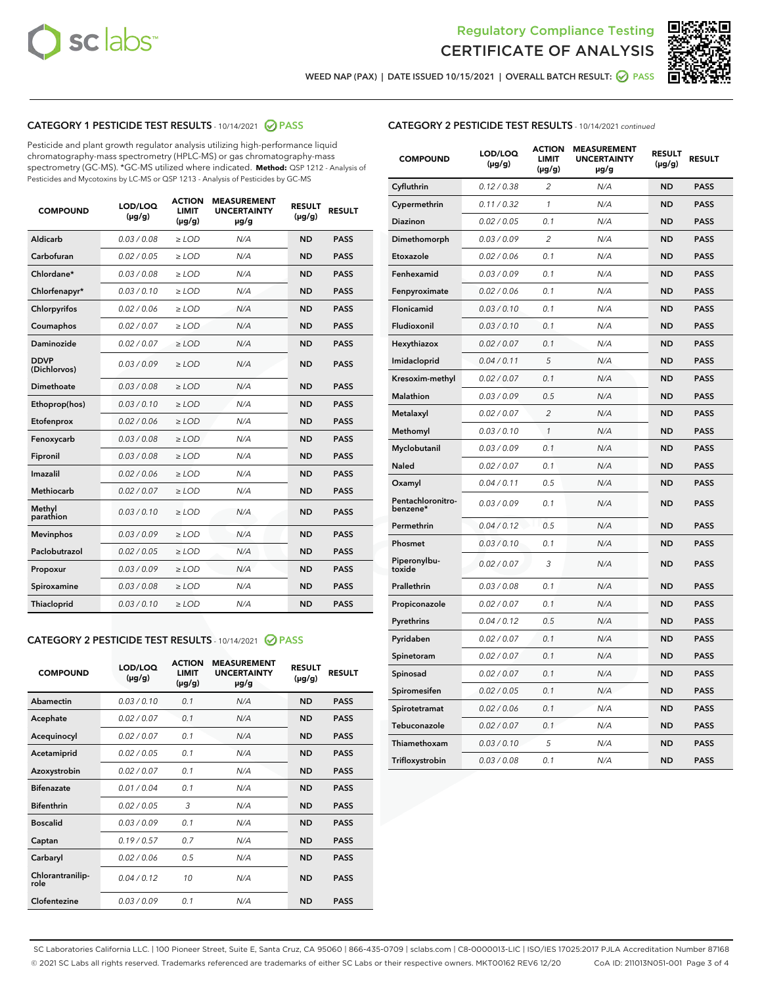



WEED NAP (PAX) | DATE ISSUED 10/15/2021 | OVERALL BATCH RESULT:  $\bigcirc$  PASS

# CATEGORY 1 PESTICIDE TEST RESULTS - 10/14/2021 2 PASS

Pesticide and plant growth regulator analysis utilizing high-performance liquid chromatography-mass spectrometry (HPLC-MS) or gas chromatography-mass spectrometry (GC-MS). \*GC-MS utilized where indicated. **Method:** QSP 1212 - Analysis of Pesticides and Mycotoxins by LC-MS or QSP 1213 - Analysis of Pesticides by GC-MS

| <b>COMPOUND</b>             | LOD/LOQ<br>$(\mu g/g)$ | <b>ACTION</b><br><b>LIMIT</b><br>$(\mu g/g)$ | <b>MEASUREMENT</b><br><b>UNCERTAINTY</b><br>µg/g | <b>RESULT</b><br>$(\mu g/g)$ | <b>RESULT</b> |
|-----------------------------|------------------------|----------------------------------------------|--------------------------------------------------|------------------------------|---------------|
| Aldicarb                    | 0.03/0.08              | $>$ LOD                                      | N/A                                              | <b>ND</b>                    | <b>PASS</b>   |
| Carbofuran                  | 0.02 / 0.05            | $\ge$ LOD                                    | N/A                                              | <b>ND</b>                    | <b>PASS</b>   |
| Chlordane*                  | 0.03/0.08              | $>$ LOD                                      | N/A                                              | <b>ND</b>                    | <b>PASS</b>   |
| Chlorfenapyr*               | 0.03 / 0.10            | $\ge$ LOD                                    | N/A                                              | <b>ND</b>                    | <b>PASS</b>   |
| Chlorpyrifos                | 0.02 / 0.06            | $\ge$ LOD                                    | N/A                                              | <b>ND</b>                    | <b>PASS</b>   |
| Coumaphos                   | 0.02 / 0.07            | $\ge$ LOD                                    | N/A                                              | <b>ND</b>                    | <b>PASS</b>   |
| Daminozide                  | 0.02 / 0.07            | $\ge$ LOD                                    | N/A                                              | <b>ND</b>                    | <b>PASS</b>   |
| <b>DDVP</b><br>(Dichlorvos) | 0.03/0.09              | $\ge$ LOD                                    | N/A                                              | <b>ND</b>                    | <b>PASS</b>   |
| <b>Dimethoate</b>           | 0.03 / 0.08            | $\ge$ LOD                                    | N/A                                              | <b>ND</b>                    | <b>PASS</b>   |
| Ethoprop(hos)               | 0.03/0.10              | $\ge$ LOD                                    | N/A                                              | <b>ND</b>                    | <b>PASS</b>   |
| Etofenprox                  | 0.02 / 0.06            | $\ge$ LOD                                    | N/A                                              | <b>ND</b>                    | <b>PASS</b>   |
| Fenoxycarb                  | 0.03 / 0.08            | $\ge$ LOD                                    | N/A                                              | <b>ND</b>                    | <b>PASS</b>   |
| Fipronil                    | 0.03/0.08              | $>$ LOD                                      | N/A                                              | <b>ND</b>                    | <b>PASS</b>   |
| Imazalil                    | 0.02 / 0.06            | $\ge$ LOD                                    | N/A                                              | <b>ND</b>                    | <b>PASS</b>   |
| Methiocarb                  | 0.02 / 0.07            | $\ge$ LOD                                    | N/A                                              | <b>ND</b>                    | <b>PASS</b>   |
| Methyl<br>parathion         | 0.03/0.10              | $\ge$ LOD                                    | N/A                                              | <b>ND</b>                    | <b>PASS</b>   |
| <b>Mevinphos</b>            | 0.03/0.09              | $\ge$ LOD                                    | N/A                                              | <b>ND</b>                    | <b>PASS</b>   |
| Paclobutrazol               | 0.02 / 0.05            | $>$ LOD                                      | N/A                                              | <b>ND</b>                    | <b>PASS</b>   |
| Propoxur                    | 0.03/0.09              | $\ge$ LOD                                    | N/A                                              | <b>ND</b>                    | <b>PASS</b>   |
| Spiroxamine                 | 0.03 / 0.08            | $\ge$ LOD                                    | N/A                                              | <b>ND</b>                    | <b>PASS</b>   |
| Thiacloprid                 | 0.03/0.10              | $\ge$ LOD                                    | N/A                                              | <b>ND</b>                    | <b>PASS</b>   |

#### CATEGORY 2 PESTICIDE TEST RESULTS - 10/14/2021 @ PASS

| <b>COMPOUND</b>          | LOD/LOO<br>$(\mu g/g)$ | <b>ACTION</b><br>LIMIT<br>$(\mu g/g)$ | <b>MEASUREMENT</b><br><b>UNCERTAINTY</b><br>$\mu$ g/g | <b>RESULT</b><br>$(\mu g/g)$ | <b>RESULT</b> |
|--------------------------|------------------------|---------------------------------------|-------------------------------------------------------|------------------------------|---------------|
| Abamectin                | 0.03/0.10              | 0.1                                   | N/A                                                   | <b>ND</b>                    | <b>PASS</b>   |
| Acephate                 | 0.02/0.07              | 0.1                                   | N/A                                                   | <b>ND</b>                    | <b>PASS</b>   |
| Acequinocyl              | 0.02/0.07              | 0.1                                   | N/A                                                   | <b>ND</b>                    | <b>PASS</b>   |
| Acetamiprid              | 0.02/0.05              | 0.1                                   | N/A                                                   | <b>ND</b>                    | <b>PASS</b>   |
| Azoxystrobin             | 0.02/0.07              | 0.1                                   | N/A                                                   | <b>ND</b>                    | <b>PASS</b>   |
| <b>Bifenazate</b>        | 0.01/0.04              | 0.1                                   | N/A                                                   | <b>ND</b>                    | <b>PASS</b>   |
| <b>Bifenthrin</b>        | 0.02/0.05              | 3                                     | N/A                                                   | <b>ND</b>                    | <b>PASS</b>   |
| <b>Boscalid</b>          | 0.03/0.09              | 0.1                                   | N/A                                                   | <b>ND</b>                    | <b>PASS</b>   |
| Captan                   | 0.19/0.57              | 0.7                                   | N/A                                                   | <b>ND</b>                    | <b>PASS</b>   |
| Carbaryl                 | 0.02/0.06              | 0.5                                   | N/A                                                   | <b>ND</b>                    | <b>PASS</b>   |
| Chlorantranilip-<br>role | 0.04/0.12              | 10                                    | N/A                                                   | <b>ND</b>                    | <b>PASS</b>   |
| Clofentezine             | 0.03/0.09              | 0.1                                   | N/A                                                   | <b>ND</b>                    | <b>PASS</b>   |

# CATEGORY 2 PESTICIDE TEST RESULTS - 10/14/2021 continued

| <b>COMPOUND</b>               | LOD/LOQ<br>(µg/g) | <b>ACTION</b><br>LIMIT<br>$(\mu g/g)$ | <b>MEASUREMENT</b><br><b>UNCERTAINTY</b><br>µg/g | <b>RESULT</b><br>(µg/g) | <b>RESULT</b> |
|-------------------------------|-------------------|---------------------------------------|--------------------------------------------------|-------------------------|---------------|
| Cyfluthrin                    | 0.12 / 0.38       | $\overline{c}$                        | N/A                                              | ND                      | <b>PASS</b>   |
| Cypermethrin                  | 0.11 / 0.32       | 1                                     | N/A                                              | ND                      | <b>PASS</b>   |
| Diazinon                      | 0.02 / 0.05       | 0.1                                   | N/A                                              | ND                      | <b>PASS</b>   |
| Dimethomorph                  | 0.03 / 0.09       | $\overline{2}$                        | N/A                                              | ND                      | <b>PASS</b>   |
| Etoxazole                     | 0.02 / 0.06       | 0.1                                   | N/A                                              | ND                      | <b>PASS</b>   |
| Fenhexamid                    | 0.03 / 0.09       | 0.1                                   | N/A                                              | ND                      | <b>PASS</b>   |
| Fenpyroximate                 | 0.02 / 0.06       | 0.1                                   | N/A                                              | ND                      | <b>PASS</b>   |
| Flonicamid                    | 0.03 / 0.10       | 0.1                                   | N/A                                              | ND                      | <b>PASS</b>   |
| Fludioxonil                   | 0.03 / 0.10       | 0.1                                   | N/A                                              | ND                      | <b>PASS</b>   |
| Hexythiazox                   | 0.02 / 0.07       | 0.1                                   | N/A                                              | <b>ND</b>               | <b>PASS</b>   |
| Imidacloprid                  | 0.04 / 0.11       | 5                                     | N/A                                              | ND                      | <b>PASS</b>   |
| Kresoxim-methyl               | 0.02 / 0.07       | 0.1                                   | N/A                                              | ND                      | <b>PASS</b>   |
| Malathion                     | 0.03 / 0.09       | 0.5                                   | N/A                                              | ND                      | <b>PASS</b>   |
| Metalaxyl                     | 0.02 / 0.07       | $\overline{c}$                        | N/A                                              | ND                      | <b>PASS</b>   |
| Methomyl                      | 0.03 / 0.10       | $\mathbf{1}$                          | N/A                                              | <b>ND</b>               | <b>PASS</b>   |
| Myclobutanil                  | 0.03 / 0.09       | 0.1                                   | N/A                                              | <b>ND</b>               | <b>PASS</b>   |
| Naled                         | 0.02 / 0.07       | 0.1                                   | N/A                                              | ND                      | <b>PASS</b>   |
| Oxamyl                        | 0.04 / 0.11       | 0.5                                   | N/A                                              | ND                      | <b>PASS</b>   |
| Pentachloronitro-<br>benzene* | 0.03 / 0.09       | 0.1                                   | N/A                                              | ND                      | <b>PASS</b>   |
| Permethrin                    | 0.04 / 0.12       | 0.5                                   | N/A                                              | <b>ND</b>               | <b>PASS</b>   |
| Phosmet                       | 0.03 / 0.10       | 0.1                                   | N/A                                              | <b>ND</b>               | <b>PASS</b>   |
| Piperonylbu-<br>toxide        | 0.02 / 0.07       | 3                                     | N/A                                              | ND                      | <b>PASS</b>   |
| Prallethrin                   | 0.03 / 0.08       | 0.1                                   | N/A                                              | <b>ND</b>               | <b>PASS</b>   |
| Propiconazole                 | 0.02 / 0.07       | 0.1                                   | N/A                                              | ND                      | <b>PASS</b>   |
| Pyrethrins                    | 0.04 / 0.12       | 0.5                                   | N/A                                              | ND                      | <b>PASS</b>   |
| Pyridaben                     | 0.02 / 0.07       | 0.1                                   | N/A                                              | ND                      | <b>PASS</b>   |
| Spinetoram                    | 0.02 / 0.07       | 0.1                                   | N/A                                              | ND                      | <b>PASS</b>   |
| Spinosad                      | 0.02 / 0.07       | 0.1                                   | N/A                                              | ND                      | <b>PASS</b>   |
| Spiromesifen                  | 0.02 / 0.05       | 0.1                                   | N/A                                              | <b>ND</b>               | <b>PASS</b>   |
| Spirotetramat                 | 0.02 / 0.06       | 0.1                                   | N/A                                              | ND                      | <b>PASS</b>   |
| Tebuconazole                  | 0.02 / 0.07       | 0.1                                   | N/A                                              | ND                      | <b>PASS</b>   |
| Thiamethoxam                  | 0.03 / 0.10       | 5                                     | N/A                                              | ND                      | <b>PASS</b>   |
| Trifloxystrobin               | 0.03 / 0.08       | 0.1                                   | N/A                                              | <b>ND</b>               | <b>PASS</b>   |

SC Laboratories California LLC. | 100 Pioneer Street, Suite E, Santa Cruz, CA 95060 | 866-435-0709 | sclabs.com | C8-0000013-LIC | ISO/IES 17025:2017 PJLA Accreditation Number 87168 © 2021 SC Labs all rights reserved. Trademarks referenced are trademarks of either SC Labs or their respective owners. MKT00162 REV6 12/20 CoA ID: 211013N051-001 Page 3 of 4